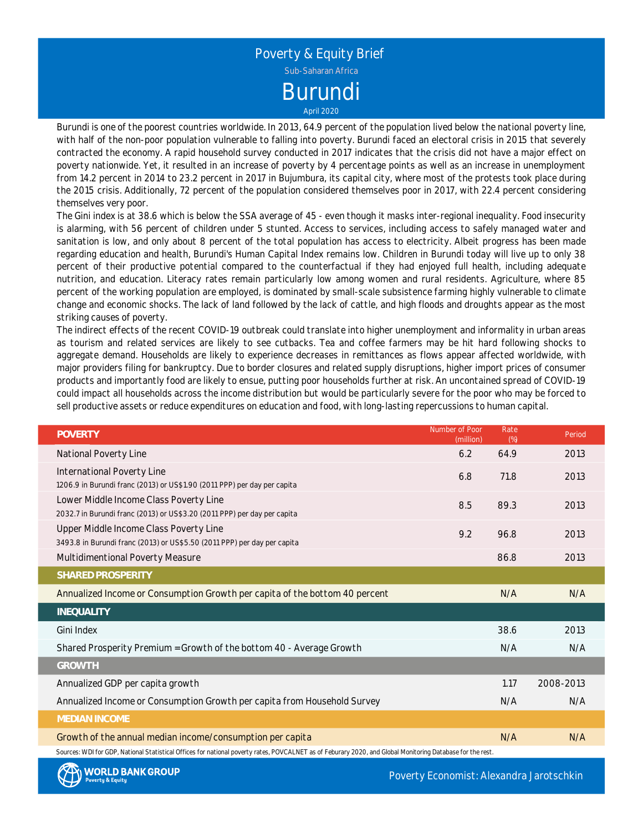Poverty & Equity Brief Burundi Sub-Saharan Africa

April 2020

Burundi is one of the poorest countries worldwide. In 2013, 64.9 percent of the population lived below the national poverty line, with half of the non-poor population vulnerable to falling into poverty. Burundi faced an electoral crisis in 2015 that severely contracted the economy. A rapid household survey conducted in 2017 indicates that the crisis did not have <sup>a</sup> major effect on poverty nationwide. Yet, it resulted in an increase of poverty by 4 percentage points as well as an increase in unemployment from 14.2 percent in 2014 to 23.2 percent in 2017 in Bujumbura, its capital city, where most of the protests took place during the 2015 crisis. Additionally, 72 percent of the population considered themselves poor in 2017, with 22.4 percent considering themselves very poor.

The Gini index is at 38.6 which is below the SSA average of 45 - even though it masks inter-regional inequality. Food insecurity is alarming, with 56 percent of children under 5 stunted. Access to services, including access to safely managed water and sanitation is low, and only about 8 percent of the total population has access to electricity. Albeit progress has been made regarding education and health, Burundi's Human Capital Index remains low. Children in Burundi today will live up to only 38 percent of their productive potential compared to the counterfactual if they had enjoyed full health, including adequate nutrition, and education. Literacy rates remain particularly low among women and rural residents. Agriculture, where 85 percent of the working population are employed, is dominated by small-scale subsistence farming highly vulnerable to climate change and economic shocks. The lack of land followed by the lack of cattle, and high floods and droughts appear as the most striking causes of poverty.

The indirect effects of the recent COVID-19 outbreak could translate into higher unemployment and informality in urban areas as tourism and related services are likely to see cutbacks. Tea and coffee farmers may be hit hard following shocks to aggregate demand. Households are likely to experience decreases in remittances as flows appear affected worldwide, with major providers filing for bankruptcy. Due to border closures and related supply disruptions, higher import prices of consumer products and importantly food are likely to ensue, putting poor households further at risk. An uncontained spread of COVID-19 could impact all households across the income distribution but would be particularly severe for the poor who may be forced to sell productive assets or reduce expenditures on education and food, with long-lasting repercussions to human capital.

| <b>POVERTY</b>                                                                                                                                             | Number of Poor<br>(million) | Rate<br>(%) | Period    |
|------------------------------------------------------------------------------------------------------------------------------------------------------------|-----------------------------|-------------|-----------|
| National Poverty Line                                                                                                                                      | 6.2                         | 64.9        | 2013      |
| International Poverty Line                                                                                                                                 | 6.8                         | 71.8        | 2013      |
| 1206.9 in Burundi franc (2013) or US\$1.90 (2011 PPP) per day per capita<br>Lower Middle Income Class Poverty Line                                         |                             |             |           |
| 2032.7 in Burundi franc (2013) or US\$3.20 (2011 PPP) per day per capita                                                                                   | 8.5                         | 89.3        | 2013      |
| Upper Middle Income Class Poverty Line                                                                                                                     | 9.2                         | 96.8        | 2013      |
| 3493.8 in Burundi franc (2013) or US\$5.50 (2011 PPP) per day per capita<br>Multidimentional Poverty Measure                                               |                             | 86.8        | 2013      |
| SHARED PROSPERITY                                                                                                                                          |                             |             |           |
| Annualized Income or Consumption Growth per capita of the bottom 40 percent                                                                                |                             | N/A         | N/A       |
| INEQUALITY                                                                                                                                                 |                             |             |           |
| Gini Index                                                                                                                                                 |                             | 38.6        | 2013      |
| Shared Prosperity Premium = Growth of the bottom 40 - Average Growth                                                                                       |                             | N/A         | N/A       |
| <b>GROWTH</b>                                                                                                                                              |                             |             |           |
| Annualized GDP per capita growth                                                                                                                           |                             | 1.17        | 2008-2013 |
| Annualized Income or Consumption Growth per capita from Household Survey                                                                                   |                             | N/A         | N/A       |
| <b>MEDIAN INCOME</b>                                                                                                                                       |                             |             |           |
| Growth of the annual median income/consumption per capita                                                                                                  |                             | N/A         | N/A       |
| Sources: WDI for GDP, National Statistical Offices for national poverty rates, POVCALNET as of Feburary 2020, and Global Monitoring Database for the rest. |                             |             |           |